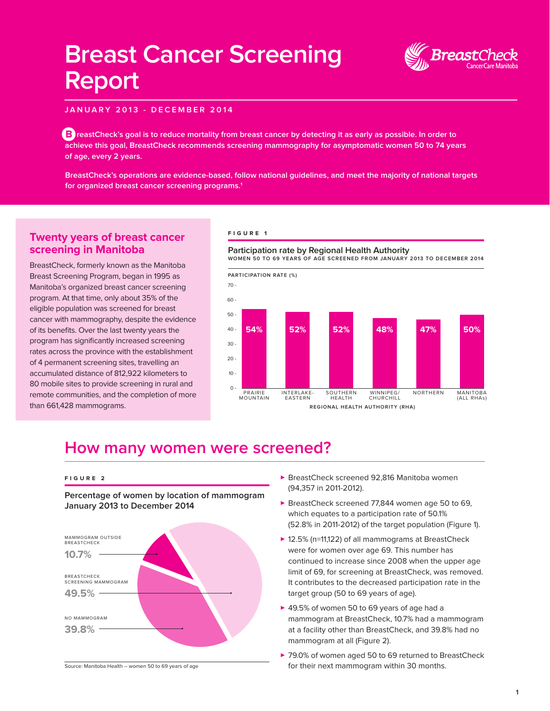# **Breast Cancer Screening Report**



**JANUARY 2013 - DECEMBER 2014**

**R** reastCheck's goal is to reduce mortality from breast cancer by detecting it as early as possible. In order to **achieve this goal, BreastCheck recommends screening mammography for asymptomatic women 50 to 74 years of age, every 2 years.** 

**BreastCheck's operations are evidence-based, follow national guidelines, and meet the majority of national targets for organized breast cancer screening programs.1**

### **Twenty years of breast cancer screening in Manitoba**

BreastCheck, formerly known as the Manitoba Breast Screening Program, began in 1995 as Manitoba's organized breast cancer screening program. At that time, only about 35% of the eligible population was screened for breast cancer with mammography, despite the evidence of its benefits. Over the last twenty years the program has significantly increased screening rates across the province with the establishment of 4 permanent screening sites, travelling an accumulated distance of 812,922 kilometers to 80 mobile sites to provide screening in rural and remote communities, and the completion of more than 661,428 mammograms.

#### **FIGURE 1**



### **How many women were screened?**

#### **FIGURE 2**

**Percentage of women by location of mammogram January 2013 to December 2014**



Source: Manitoba Health – women 50 to 69 years of age

- ▶ BreastCheck screened 92,816 Manitoba women (94,357 in 2011-2012).
- ▶ BreastCheck screened 77,844 women age 50 to 69, which equates to a participation rate of 50.1% (52.8% in 2011-2012) of the target population (Figure 1).
- ▶ 12.5% (n=11,122) of all mammograms at BreastCheck were for women over age 69. This number has continued to increase since 2008 when the upper age limit of 69, for screening at BreastCheck, was removed. It contributes to the decreased participation rate in the target group (50 to 69 years of age).
- ▶ 49.5% of women 50 to 69 years of age had a mammogram at BreastCheck, 10.7% had a mammogram at a facility other than BreastCheck, and 39.8% had no mammogram at all (Figure 2).
- ▶ 79.0% of women aged 50 to 69 returned to BreastCheck for their next mammogram within 30 months.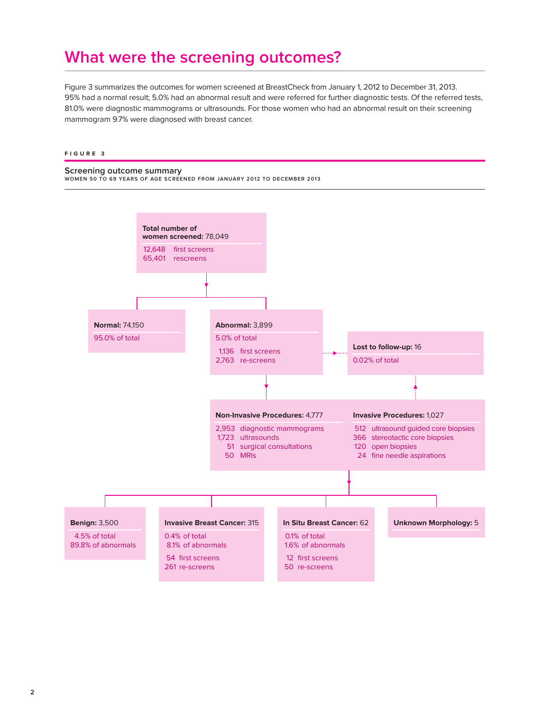### **What were the screening outcomes?**

Figure 3 summarizes the outcomes for women screened at BreastCheck from January 1, 2012 to December 31, 2013. 95% had a normal result; 5.0% had an abnormal result and were referred for further diagnostic tests. Of the referred tests, 81.0% were diagnostic mammograms or ultrasounds. For those women who had an abnormal result on their screening mammogram 9.7% were diagnosed with breast cancer.

#### **FIGURE 3**

#### **Screening outcome summary**

**WOMEN 50 TO 69 YEARS OF AGE SCREENED FROM JANUARY 2012 TO DECEMBER 2013**

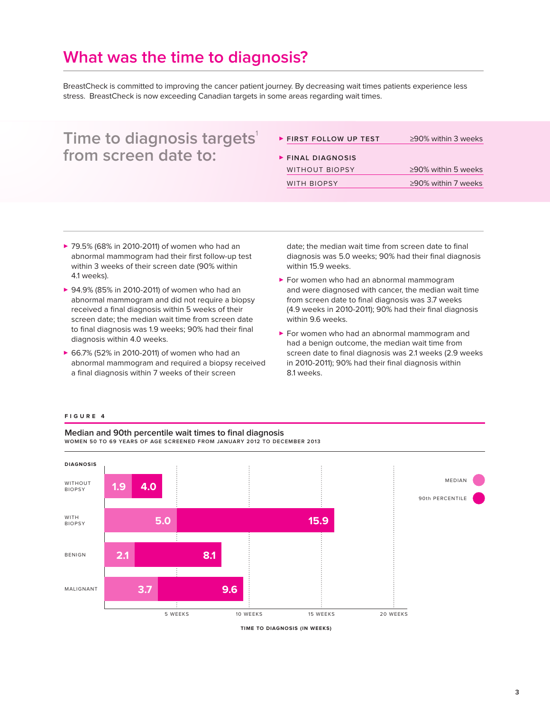### **What was the time to diagnosis?**

BreastCheck is committed to improving the cancer patient journey. By decreasing wait times patients experience less stress. BreastCheck is now exceeding Canadian targets in some areas regarding wait times.

| Time to diagnosis targets'<br>from screen date to: | FIRST FOLLOW UP TEST  | $\geq$ 90% within 3 weeks |
|----------------------------------------------------|-----------------------|---------------------------|
|                                                    | FINAL DIAGNOSIS       |                           |
|                                                    | <b>WITHOUT BIOPSY</b> | $\geq$ 90% within 5 weeks |
|                                                    | <b>WITH BIOPSY</b>    | $\geq$ 90% within 7 weeks |
|                                                    |                       |                           |

- ▶ 79.5% (68% in 2010-2011) of women who had an abnormal mammogram had their first follow-up test within 3 weeks of their screen date (90% within 4.1 weeks).
- ▶ 94.9% (85% in 2010-2011) of women who had an abnormal mammogram and did not require a biopsy received a final diagnosis within 5 weeks of their screen date; the median wait time from screen date to final diagnosis was 1.9 weeks; 90% had their final diagnosis within 4.0 weeks.
- ▶ 66.7% (52% in 2010-2011) of women who had an abnormal mammogram and required a biopsy received a final diagnosis within 7 weeks of their screen

date; the median wait time from screen date to final diagnosis was 5.0 weeks; 90% had their final diagnosis within 15.9 weeks.

- **>** For women who had an abnormal mammogram and were diagnosed with cancer, the median wait time from screen date to final diagnosis was 3.7 weeks (4.9 weeks in 2010-2011); 90% had their final diagnosis within 9.6 weeks.
- ▶ For women who had an abnormal mammogram and had a benign outcome, the median wait time from screen date to final diagnosis was 2.1 weeks (2.9 weeks in 2010-2011); 90% had their final diagnosis within 8.1 weeks.

#### **FIGURE 4**

**Median and 90th percentile wait times to final diagnosis WOMEN 50 TO 69 YEARS OF AGE SCREENED FROM JANUARY 2012 TO DECEMBER 2013**



**TIME TO DIAGNOSIS (IN WEEKS)**